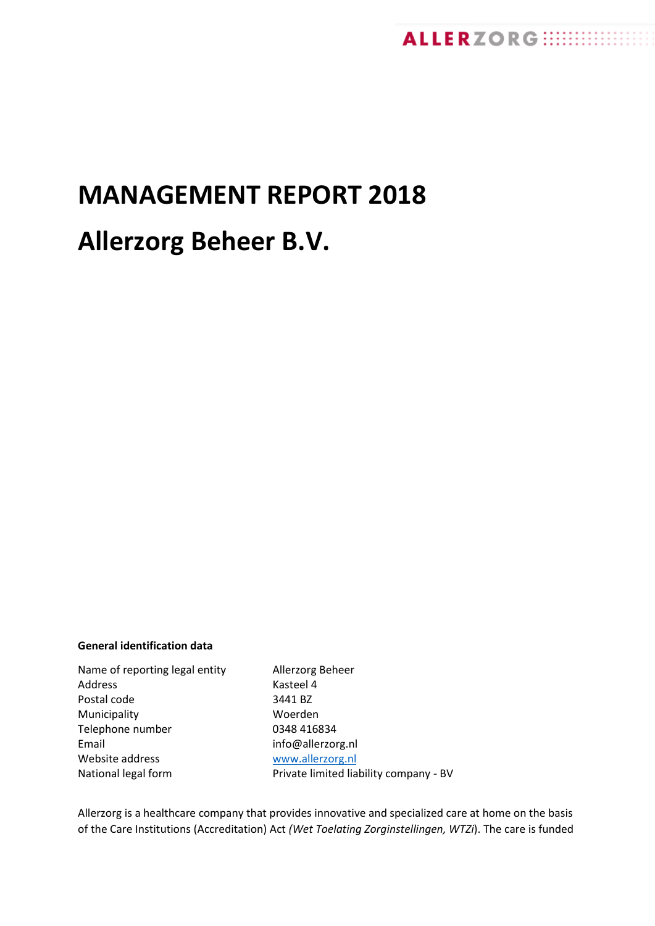# **MANAGEMENT REPORT 2018**

# **Allerzorg Beheer B.V.**

# **General identification data**

Name of reporting legal entity Allerzorg Beheer Address Kasteel 4 Postal code 3441 BZ Municipality Woerden Telephone number 0348 416834 Email info@allerzorg.nl Website address [www.allerzorg.nl](http://www.allerzorg.nl/) National legal form Private limited liability company - BV

Allerzorg is a healthcare company that provides innovative and specialized care at home on the basis of the Care Institutions (Accreditation) Act *(Wet Toelating Zorginstellingen, WTZi*). The care is funded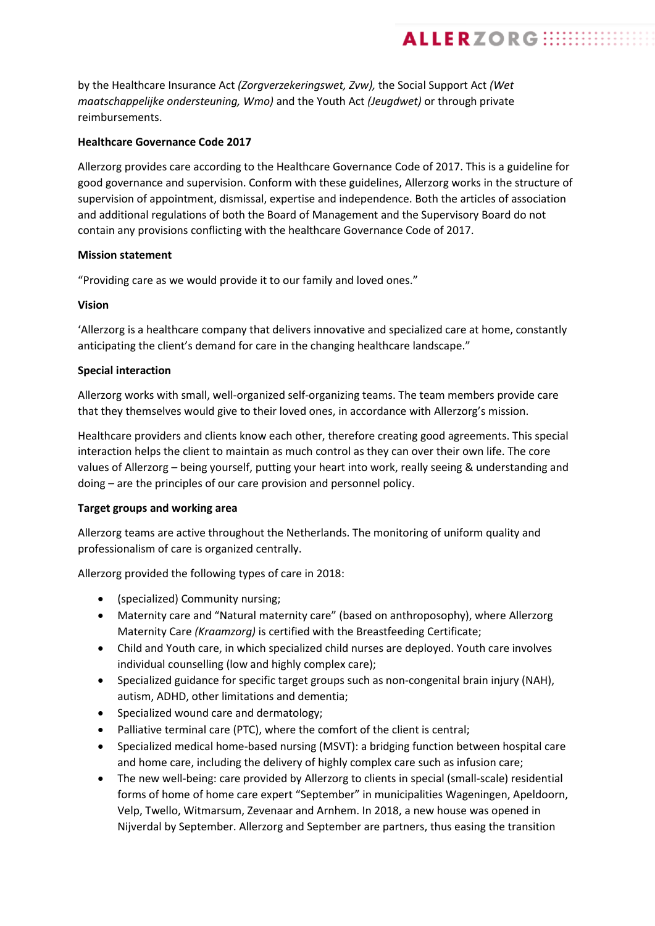by the Healthcare Insurance Act *(Zorgverzekeringswet, Zvw),* the Social Support Act *(Wet maatschappelijke ondersteuning, Wmo)* and the Youth Act *(Jeugdwet)* or through private reimbursements.

# **Healthcare Governance Code 2017**

Allerzorg provides care according to the Healthcare Governance Code of 2017. This is a guideline for good governance and supervision. Conform with these guidelines, Allerzorg works in the structure of supervision of appointment, dismissal, expertise and independence. Both the articles of association and additional regulations of both the Board of Management and the Supervisory Board do not contain any provisions conflicting with the healthcare Governance Code of 2017.

**ALLERZORG WEBBER** 

## **Mission statement**

"Providing care as we would provide it to our family and loved ones."

# **Vision**

'Allerzorg is a healthcare company that delivers innovative and specialized care at home, constantly anticipating the client's demand for care in the changing healthcare landscape."

# **Special interaction**

Allerzorg works with small, well-organized self-organizing teams. The team members provide care that they themselves would give to their loved ones, in accordance with Allerzorg's mission.

Healthcare providers and clients know each other, therefore creating good agreements. This special interaction helps the client to maintain as much control as they can over their own life. The core values of Allerzorg – being yourself, putting your heart into work, really seeing & understanding and doing – are the principles of our care provision and personnel policy.

# **Target groups and working area**

Allerzorg teams are active throughout the Netherlands. The monitoring of uniform quality and professionalism of care is organized centrally.

Allerzorg provided the following types of care in 2018:

- (specialized) Community nursing;
- Maternity care and "Natural maternity care" (based on anthroposophy), where Allerzorg Maternity Care *(Kraamzorg)* is certified with the Breastfeeding Certificate;
- Child and Youth care, in which specialized child nurses are deployed. Youth care involves individual counselling (low and highly complex care);
- Specialized guidance for specific target groups such as non-congenital brain injury (NAH), autism, ADHD, other limitations and dementia;
- Specialized wound care and dermatology;
- Palliative terminal care (PTC), where the comfort of the client is central;
- Specialized medical home-based nursing (MSVT): a bridging function between hospital care and home care, including the delivery of highly complex care such as infusion care;
- The new well-being: care provided by Allerzorg to clients in special (small-scale) residential forms of home of home care expert "September" in municipalities Wageningen, Apeldoorn, Velp, Twello, Witmarsum, Zevenaar and Arnhem. In 2018, a new house was opened in Nijverdal by September. Allerzorg and September are partners, thus easing the transition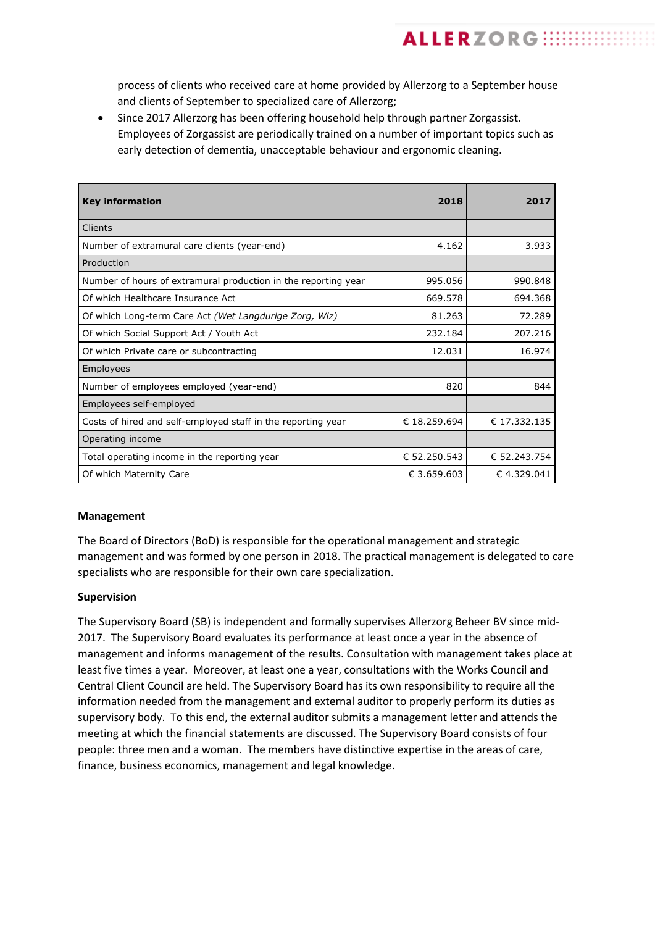process of clients who received care at home provided by Allerzorg to a September house and clients of September to specialized care of Allerzorg;

**ALLERZORG ::::::::::** 

• Since 2017 Allerzorg has been offering household help through partner Zorgassist. Employees of Zorgassist are periodically trained on a number of important topics such as early detection of dementia, unacceptable behaviour and ergonomic cleaning.

| <b>Key information</b>                                         | 2018         | 2017         |
|----------------------------------------------------------------|--------------|--------------|
| Clients                                                        |              |              |
| Number of extramural care clients (year-end)                   | 4.162        | 3.933        |
| Production                                                     |              |              |
| Number of hours of extramural production in the reporting year | 995.056      | 990.848      |
| Of which Healthcare Insurance Act                              | 669.578      | 694.368      |
| Of which Long-term Care Act (Wet Langdurige Zorg, Wlz)         | 81.263       | 72.289       |
| Of which Social Support Act / Youth Act                        | 232.184      | 207.216      |
| Of which Private care or subcontracting                        | 12.031       | 16.974       |
| Employees                                                      |              |              |
| Number of employees employed (year-end)                        | 820          | 844          |
| Employees self-employed                                        |              |              |
| Costs of hired and self-employed staff in the reporting year   | € 18.259.694 | € 17.332.135 |
| Operating income                                               |              |              |
| Total operating income in the reporting year                   | € 52.250.543 | € 52.243.754 |
| Of which Maternity Care                                        | € 3.659.603  | € 4.329.041  |

## **Management**

The Board of Directors (BoD) is responsible for the operational management and strategic management and was formed by one person in 2018. The practical management is delegated to care specialists who are responsible for their own care specialization.

#### **Supervision**

The Supervisory Board (SB) is independent and formally supervises Allerzorg Beheer BV since mid-2017. The Supervisory Board evaluates its performance at least once a year in the absence of management and informs management of the results. Consultation with management takes place at least five times a year. Moreover, at least one a year, consultations with the Works Council and Central Client Council are held. The Supervisory Board has its own responsibility to require all the information needed from the management and external auditor to properly perform its duties as supervisory body. To this end, the external auditor submits a management letter and attends the meeting at which the financial statements are discussed. The Supervisory Board consists of four people: three men and a woman. The members have distinctive expertise in the areas of care, finance, business economics, management and legal knowledge.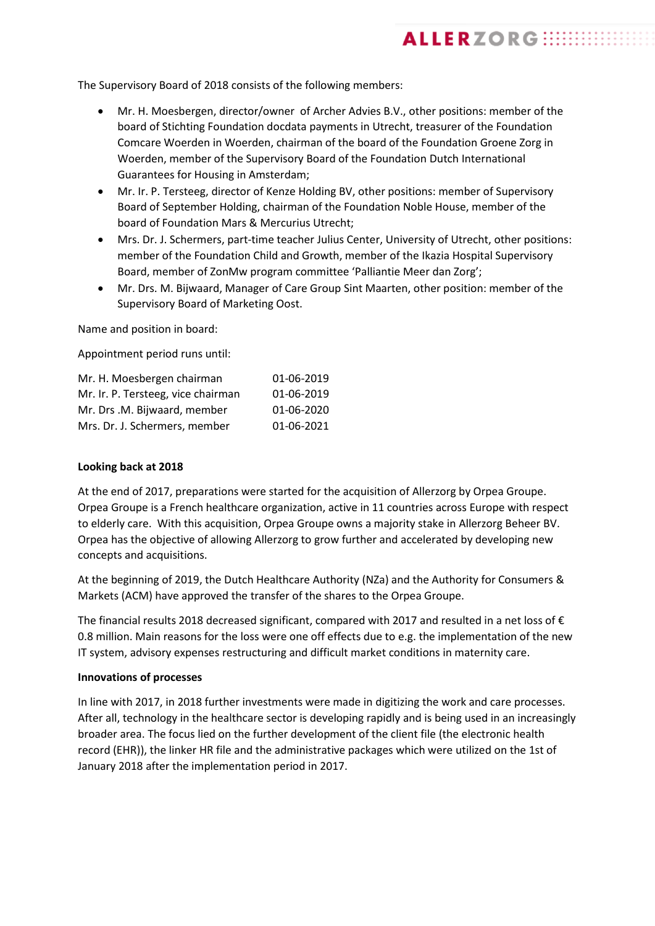The Supervisory Board of 2018 consists of the following members:

• Mr. H. Moesbergen, director/owner of Archer Advies B.V., other positions: member of the board of Stichting Foundation docdata payments in Utrecht, treasurer of the Foundation Comcare Woerden in Woerden, chairman of the board of the Foundation Groene Zorg in Woerden, member of the Supervisory Board of the Foundation Dutch International Guarantees for Housing in Amsterdam;

**ALLERZORG :::::::::::** 

- Mr. Ir. P. Tersteeg, director of Kenze Holding BV, other positions: member of Supervisory Board of September Holding, chairman of the Foundation Noble House, member of the board of Foundation Mars & Mercurius Utrecht;
- Mrs. Dr. J. Schermers, part-time teacher Julius Center, University of Utrecht, other positions: member of the Foundation Child and Growth, member of the Ikazia Hospital Supervisory Board, member of ZonMw program committee 'Palliantie Meer dan Zorg';
- Mr. Drs. M. Bijwaard, Manager of Care Group Sint Maarten, other position: member of the Supervisory Board of Marketing Oost.

Name and position in board:

Appointment period runs until:

| Mr. H. Moesbergen chairman         | 01-06-2019 |
|------------------------------------|------------|
| Mr. Ir. P. Tersteeg, vice chairman | 01-06-2019 |
| Mr. Drs .M. Bijwaard, member       | 01-06-2020 |
| Mrs. Dr. J. Schermers, member      | 01-06-2021 |

# **Looking back at 2018**

At the end of 2017, preparations were started for the acquisition of Allerzorg by Orpea Groupe. Orpea Groupe is a French healthcare organization, active in 11 countries across Europe with respect to elderly care. With this acquisition, Orpea Groupe owns a majority stake in Allerzorg Beheer BV. Orpea has the objective of allowing Allerzorg to grow further and accelerated by developing new concepts and acquisitions.

At the beginning of 2019, the Dutch Healthcare Authority (NZa) and the Authority for Consumers & Markets (ACM) have approved the transfer of the shares to the Orpea Groupe.

The financial results 2018 decreased significant, compared with 2017 and resulted in a net loss of € 0.8 million. Main reasons for the loss were one off effects due to e.g. the implementation of the new IT system, advisory expenses restructuring and difficult market conditions in maternity care.

## **Innovations of processes**

In line with 2017, in 2018 further investments were made in digitizing the work and care processes. After all, technology in the healthcare sector is developing rapidly and is being used in an increasingly broader area. The focus lied on the further development of the client file (the electronic health record (EHR)), the linker HR file and the administrative packages which were utilized on the 1st of January 2018 after the implementation period in 2017.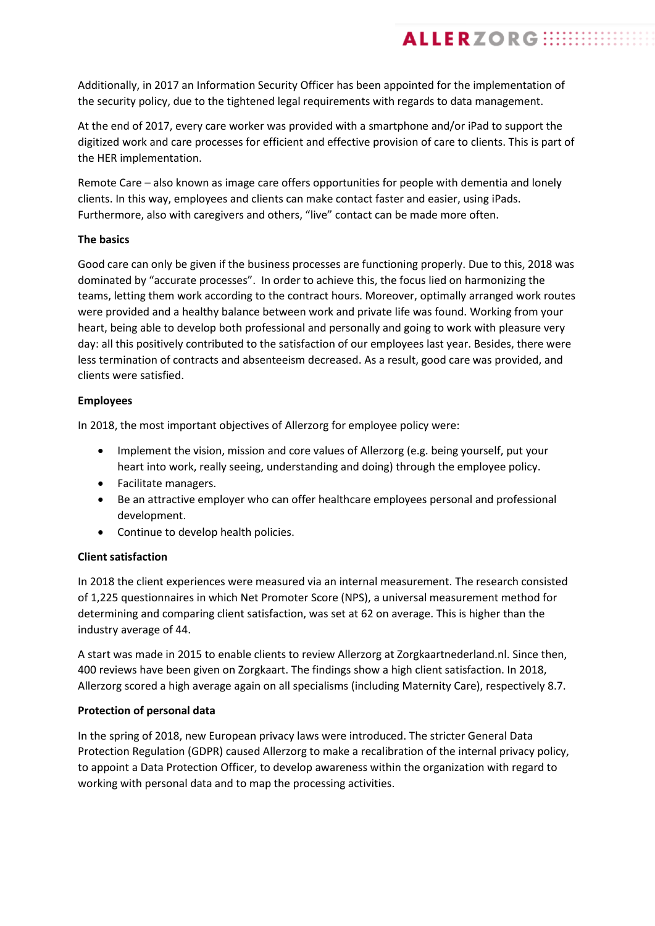Additionally, in 2017 an Information Security Officer has been appointed for the implementation of the security policy, due to the tightened legal requirements with regards to data management.

**ALLERZORG ::::::::::** 

At the end of 2017, every care worker was provided with a smartphone and/or iPad to support the digitized work and care processes for efficient and effective provision of care to clients. This is part of the HER implementation.

Remote Care – also known as image care offers opportunities for people with dementia and lonely clients. In this way, employees and clients can make contact faster and easier, using iPads. Furthermore, also with caregivers and others, "live" contact can be made more often.

# **The basics**

Good care can only be given if the business processes are functioning properly. Due to this, 2018 was dominated by "accurate processes". In order to achieve this, the focus lied on harmonizing the teams, letting them work according to the contract hours. Moreover, optimally arranged work routes were provided and a healthy balance between work and private life was found. Working from your heart, being able to develop both professional and personally and going to work with pleasure very day: all this positively contributed to the satisfaction of our employees last year. Besides, there were less termination of contracts and absenteeism decreased. As a result, good care was provided, and clients were satisfied.

# **Employees**

In 2018, the most important objectives of Allerzorg for employee policy were:

- Implement the vision, mission and core values of Allerzorg (e.g. being yourself, put your heart into work, really seeing, understanding and doing) through the employee policy.
- Facilitate managers.
- Be an attractive employer who can offer healthcare employees personal and professional development.
- Continue to develop health policies.

## **Client satisfaction**

In 2018 the client experiences were measured via an internal measurement. The research consisted of 1,225 questionnaires in which Net Promoter Score (NPS), a universal measurement method for determining and comparing client satisfaction, was set at 62 on average. This is higher than the industry average of 44.

A start was made in 2015 to enable clients to review Allerzorg at Zorgkaartnederland.nl. Since then, 400 reviews have been given on Zorgkaart. The findings show a high client satisfaction. In 2018, Allerzorg scored a high average again on all specialisms (including Maternity Care), respectively 8.7.

## **Protection of personal data**

In the spring of 2018, new European privacy laws were introduced. The stricter General Data Protection Regulation (GDPR) caused Allerzorg to make a recalibration of the internal privacy policy, to appoint a Data Protection Officer, to develop awareness within the organization with regard to working with personal data and to map the processing activities.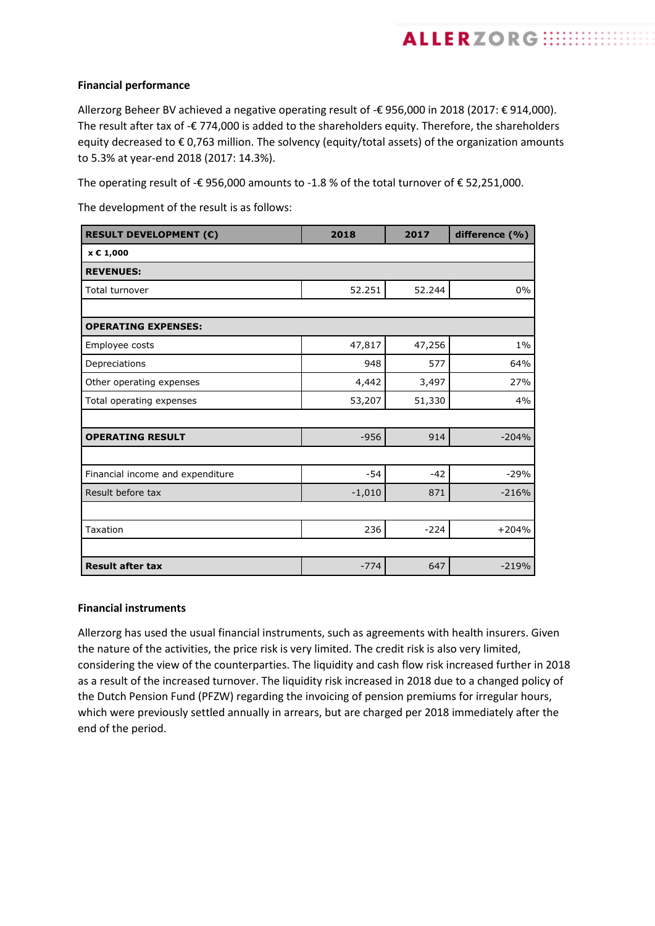Allerzorg Beheer BV achieved a negative operating result of -€ 956,000 in 2018 (2017: € 914,000). The result after tax of -€ 774,000 is added to the shareholders equity. Therefore, the shareholders equity decreased to € 0,763 million. The solvency (equity/total assets) of the organization amounts to 5.3% at year-end 2018 (2017: 14.3%).

**ALLERZORG :::::::::::** 

The operating result of -€ 956,000 amounts to -1.8 % of the total turnover of € 52,251,000.

The development of the result is as follows:

| <b>RESULT DEVELOPMENT (€)</b>    | 2018     | 2017   | difference (%) |
|----------------------------------|----------|--------|----------------|
| x € 1,000                        |          |        |                |
| <b>REVENUES:</b>                 |          |        |                |
| Total turnover                   | 52.251   | 52.244 | 0%             |
|                                  |          |        |                |
| <b>OPERATING EXPENSES:</b>       |          |        |                |
| Employee costs                   | 47,817   | 47,256 | $1\%$          |
| Depreciations                    | 948      | 577    | 64%            |
| Other operating expenses         | 4,442    | 3,497  | 27%            |
| Total operating expenses         | 53,207   | 51,330 | 4%             |
|                                  |          |        |                |
| <b>OPERATING RESULT</b>          | $-956$   | 914    | $-204%$        |
|                                  |          |        |                |
| Financial income and expenditure | $-54$    | $-42$  | $-29%$         |
| Result before tax                | $-1,010$ | 871    | $-216%$        |
|                                  |          |        |                |
| Taxation                         | 236      | $-224$ | $+204%$        |
|                                  |          |        |                |
| <b>Result after tax</b>          | $-774$   | 647    | $-219%$        |

## **Financial instruments**

Allerzorg has used the usual financial instruments, such as agreements with health insurers. Given the nature of the activities, the price risk is very limited. The credit risk is also very limited, considering the view of the counterparties. The liquidity and cash flow risk increased further in 2018 as a result of the increased turnover. The liquidity risk increased in 2018 due to a changed policy of the Dutch Pension Fund (PFZW) regarding the invoicing of pension premiums for irregular hours, which were previously settled annually in arrears, but are charged per 2018 immediately after the end of the period.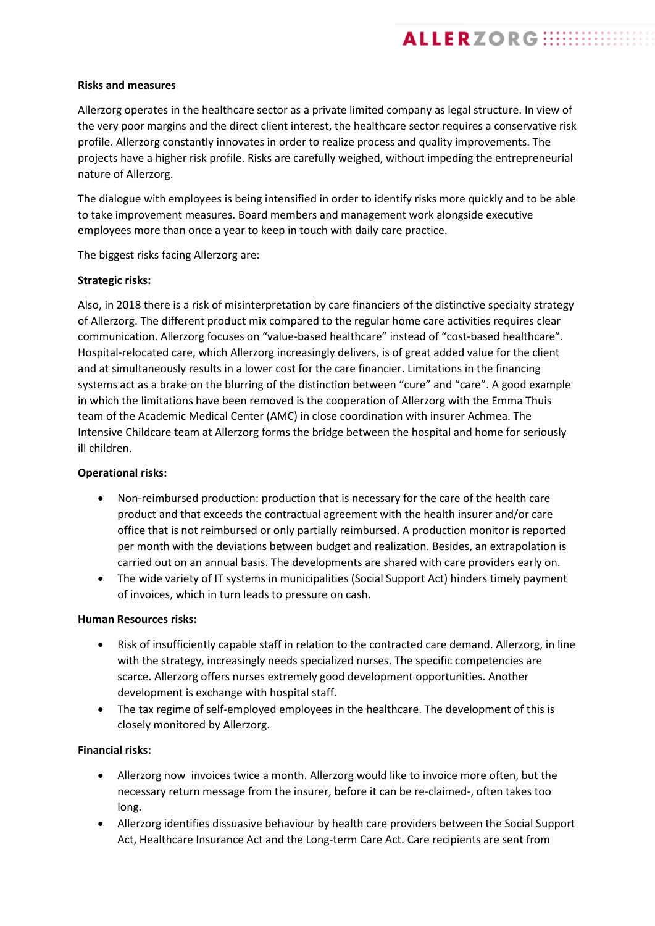# **Risks and measures**

Allerzorg operates in the healthcare sector as a private limited company as legal structure. In view of the very poor margins and the direct client interest, the healthcare sector requires a conservative risk profile. Allerzorg constantly innovates in order to realize process and quality improvements. The projects have a higher risk profile. Risks are carefully weighed, without impeding the entrepreneurial nature of Allerzorg.

**ALLERZORG :::::::::::** 

The dialogue with employees is being intensified in order to identify risks more quickly and to be able to take improvement measures. Board members and management work alongside executive employees more than once a year to keep in touch with daily care practice.

The biggest risks facing Allerzorg are:

# **Strategic risks:**

Also, in 2018 there is a risk of misinterpretation by care financiers of the distinctive specialty strategy of Allerzorg. The different product mix compared to the regular home care activities requires clear communication. Allerzorg focuses on "value-based healthcare" instead of "cost-based healthcare". Hospital-relocated care, which Allerzorg increasingly delivers, is of great added value for the client and at simultaneously results in a lower cost for the care financier. Limitations in the financing systems act as a brake on the blurring of the distinction between "cure" and "care". A good example in which the limitations have been removed is the cooperation of Allerzorg with the Emma Thuis team of the Academic Medical Center (AMC) in close coordination with insurer Achmea. The Intensive Childcare team at Allerzorg forms the bridge between the hospital and home for seriously ill children.

## **Operational risks:**

- Non-reimbursed production: production that is necessary for the care of the health care product and that exceeds the contractual agreement with the health insurer and/or care office that is not reimbursed or only partially reimbursed. A production monitor is reported per month with the deviations between budget and realization. Besides, an extrapolation is carried out on an annual basis. The developments are shared with care providers early on.
- The wide variety of IT systems in municipalities (Social Support Act) hinders timely payment of invoices, which in turn leads to pressure on cash.

## **Human Resources risks:**

- Risk of insufficiently capable staff in relation to the contracted care demand. Allerzorg, in line with the strategy, increasingly needs specialized nurses. The specific competencies are scarce. Allerzorg offers nurses extremely good development opportunities. Another development is exchange with hospital staff.
- The tax regime of self-employed employees in the healthcare. The development of this is closely monitored by Allerzorg.

## **Financial risks:**

- Allerzorg now invoices twice a month. Allerzorg would like to invoice more often, but the necessary return message from the insurer, before it can be re-claimed-, often takes too long.
- Allerzorg identifies dissuasive behaviour by health care providers between the Social Support Act, Healthcare Insurance Act and the Long-term Care Act. Care recipients are sent from